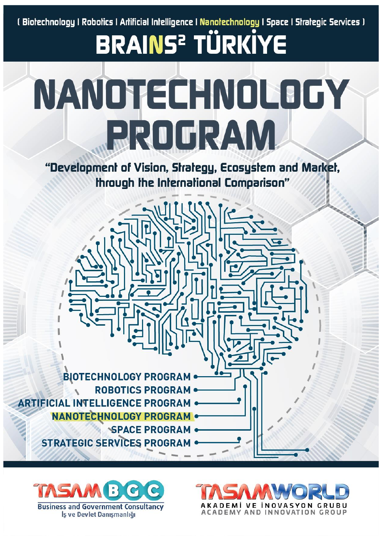<u>(Biołechnology I Robolics I Arlificial Intelligence I Nanołechnology I Space I Strałegic Services I</u>

# **BRAINS<sup>2</sup> TÜRKİYE** NANOTECHNOLOGY BROGRAM

"Development of Vision, Strategy, Ecosystem and Market, through the International Comparison"





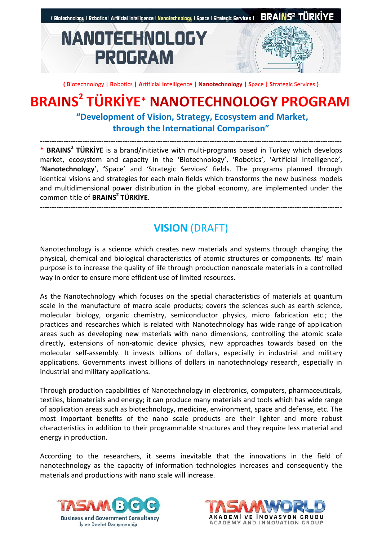

**( B**iotechnology **| R**obotics **| A**rtificial **I**ntelligence **| Nanotechnology | S**pace **| S**trategic Services **)**

### **BRAINS 2 TÜRKİYE\* NANOTECHNOLOGY PROGRAM**

**"Development of Vision, Strategy, Ecosystem and Market, through the International Comparison"**

**-------------------------------------------------------------------------------------------------------------------------------- \* BRAINS<sup>2</sup> TÜRKİYE** is a brand/initiative with multi-programs based in Turkey which develops market, ecosystem and capacity in the 'Biotechnology', 'Robotics', 'Artificial Intelligence', '**Nanotechnology**', **'**Space' and 'Strategic Services' fields. The programs planned through identical visions and strategies for each main fields which transforms the new business models and multidimensional power distribution in the global economy, are implemented under the common title of **BRAINS<sup>2</sup> TÜRKİYE.**

#### **--------------------------------------------------------------------------------------------------------------------------------**

### **VISION** (DRAFT)

Nanotechnology is a science which creates new materials and systems through changing the physical, chemical and biological characteristics of atomic structures or components. Its' main purpose is to increase the quality of life through production nanoscale materials in a controlled way in order to ensure more efficient use of limited resources.

As the Nanotechnology which focuses on the special characteristics of materials at quantum scale in the manufacture of macro scale products; covers the sciences such as earth science, molecular biology, organic chemistry, semiconductor physics, micro fabrication etc.; the practices and researches which is related with Nanotechnology has wide range of application areas such as developing new materials with nano dimensions, controlling the atomic scale directly, extensions of non-atomic device physics, new approaches towards based on the molecular self-assembly. It invests billions of dollars, especially in industrial and military applications. Governments invest billions of dollars in nanotechnology research, especially in industrial and military applications.

Through production capabilities of Nanotechnology in electronics, computers, pharmaceuticals, textiles, biomaterials and energy; it can produce many materials and tools which has wide range of application areas such as biotechnology, medicine, environment, space and defense, etc. The most important benefits of the nano scale products are their lighter and more robust characteristics in addition to their programmable structures and they require less material and energy in production.

According to the researchers, it seems inevitable that the innovations in the field of nanotechnology as the capacity of information technologies increases and consequently the materials and productions with nano scale will increase.



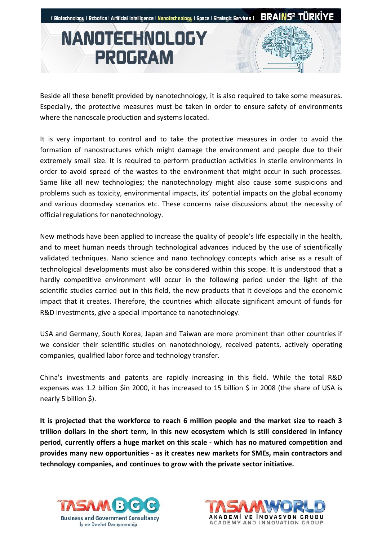

Beside all these benefit provided by nanotechnology, it is also required to take some measures. Especially, the protective measures must be taken in order to ensure safety of environments where the nanoscale production and systems located.

It is very important to control and to take the protective measures in order to avoid the formation of nanostructures which might damage the environment and people due to their extremely small size. It is required to perform production activities in sterile environments in order to avoid spread of the wastes to the environment that might occur in such processes. Same like all new technologies; the nanotechnology might also cause some suspicions and problems such as toxicity, environmental impacts, its' potential impacts on the global economy and various doomsday scenarios etc. These concerns raise discussions about the necessity of official regulations for nanotechnology.

New methods have been applied to increase the quality of people's life especially in the health, and to meet human needs through technological advances induced by the use of scientifically validated techniques. Nano science and nano technology concepts which arise as a result of technological developments must also be considered within this scope. It is understood that a hardly competitive environment will occur in the following period under the light of the scientific studies carried out in this field, the new products that it develops and the economic impact that it creates. Therefore, the countries which allocate significant amount of funds for R&D investments, give a special importance to nanotechnology.

USA and Germany, South Korea, Japan and Taiwan are more prominent than other countries if we consider their scientific studies on nanotechnology, received patents, actively operating companies, qualified labor force and technology transfer.

China's investments and patents are rapidly increasing in this field. While the total R&D expenses was 1.2 billion \$in 2000, it has increased to 15 billion \$ in 2008 (the share of USA is nearly 5 billion \$).

**It is projected that the workforce to reach 6 million people and the market size to reach 3 trillion dollars in the short term, in this new ecosystem which is still considered in infancy period, currently offers a huge market on this scale - which has no matured competition and provides many new opportunities - as it creates new markets for SMEs, main contractors and technology companies, and continues to grow with the private sector initiative.**



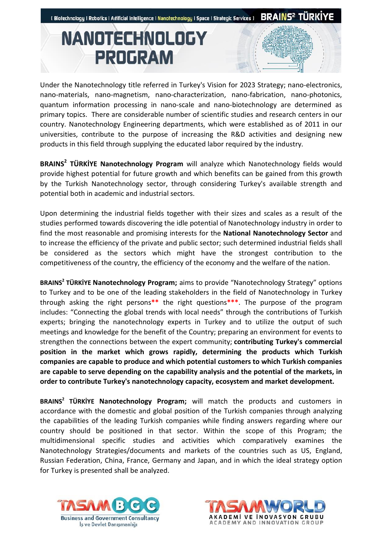

Under the Nanotechnology title referred in Turkey's Vision for 2023 Strategy; nano-electronics, nano-materials, nano-magnetism, nano-characterization, nano-fabrication, nano-photonics, quantum information processing in nano-scale and nano-biotechnology are determined as primary topics. There are considerable number of scientific studies and research centers in our country. Nanotechnology Engineering departments, which were established as of 2011 in our universities, contribute to the purpose of increasing the R&D activities and designing new products in this field through supplying the educated labor required by the industry.

**BRAINS<sup>2</sup> TÜRKİYE Nanotechnology Program** will analyze which Nanotechnology fields would provide highest potential for future growth and which benefits can be gained from this growth by the Turkish Nanotechnology sector, through considering Turkey's available strength and potential both in academic and industrial sectors.

Upon determining the industrial fields together with their sizes and scales as a result of the studies performed towards discovering the idle potential of Nanotechnology industry in order to find the most reasonable and promising interests for the **National Nanotechnology Sector** and to increase the efficiency of the private and public sector; such determined industrial fields shall be considered as the sectors which might have the strongest contribution to the competitiveness of the country, the efficiency of the economy and the welfare of the nation.

**BRAINS<sup>2</sup> TÜRKİYE Nanotechnology Program;** aims to provide "Nanotechnology Strategy" options to Turkey and to be one of the leading stakeholders in the field of Nanotechnology in Turkey through asking the right persons**\*\*** the right questions**\*\*\***. The purpose of the program includes: "Connecting the global trends with local needs" through the contributions of Turkish experts; bringing the nanotechnology experts in Turkey and to utilize the output of such meetings and knowledge for the benefit of the Country; preparing an environment for events to strengthen the connections between the expert community; **contributing Turkey's commercial position in the market which grows rapidly, determining the products which Turkish companies are capable to produce and which potential customers to which Turkish companies are capable to serve depending on the capability analysis and the potential of the markets, in order to contribute Turkey's nanotechnology capacity, ecosystem and market development.** 

**BRAINS<sup>2</sup> TÜRKİYE Nanotechnology Program;** will match the products and customers in accordance with the domestic and global position of the Turkish companies through analyzing the capabilities of the leading Turkish companies while finding answers regarding where our country should be positioned in that sector. Within the scope of this Program; the multidimensional specific studies and activities which comparatively examines the Nanotechnology Strategies/documents and markets of the countries such as US, England, Russian Federation, China, France, Germany and Japan, and in which the ideal strategy option for Turkey is presented shall be analyzed.



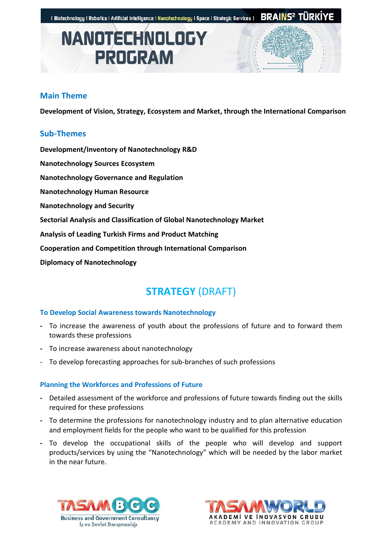

#### **Main Theme**

**Development of Vision, Strategy, Ecosystem and Market, through the International Comparison** 

#### **Sub-Themes**

**Development/Inventory of Nanotechnology R&D** 

- **Nanotechnology Sources Ecosystem**
- **Nanotechnology Governance and Regulation**

**Nanotechnology Human Resource**

**Nanotechnology and Security**

**Sectorial Analysis and Classification of Global Nanotechnology Market** 

**Analysis of Leading Turkish Firms and Product Matching**

**Cooperation and Competition through International Comparison**

**Diplomacy of Nanotechnology**

### **STRATEGY** (DRAFT)

#### **To Develop Social Awareness towards Nanotechnology**

- **-** To increase the awareness of youth about the professions of future and to forward them towards these professions
- **-** To increase awareness about nanotechnology
- To develop forecasting approaches for sub-branches of such professions

#### **Planning the Workforces and Professions of Future**

- **-** Detailed assessment of the workforce and professions of future towards finding out the skills required for these professions
- **-** To determine the professions for nanotechnology industry and to plan alternative education and employment fields for the people who want to be qualified for this profession
- **-** To develop the occupational skills of the people who will develop and support products/services by using the "Nanotechnology" which will be needed by the labor market in the near future.



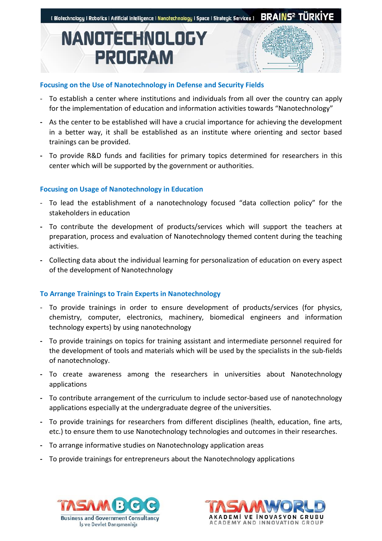

#### **Focusing on the Use of Nanotechnology in Defense and Security Fields**

- To establish a center where institutions and individuals from all over the country can apply for the implementation of education and information activities towards "Nanotechnology"
- **-** As the center to be established will have a crucial importance for achieving the development in a better way, it shall be established as an institute where orienting and sector based trainings can be provided.
- **-** To provide R&D funds and facilities for primary topics determined for researchers in this center which will be supported by the government or authorities.

#### **Focusing on Usage of Nanotechnology in Education**

- To lead the establishment of a nanotechnology focused "data collection policy" for the stakeholders in education
- **-** To contribute the development of products/services which will support the teachers at preparation, process and evaluation of Nanotechnology themed content during the teaching activities.
- **-** Collecting data about the individual learning for personalization of education on every aspect of the development of Nanotechnology

#### **To Arrange Trainings to Train Experts in Nanotechnology**

- To provide trainings in order to ensure development of products/services (for physics, chemistry, computer, electronics, machinery, biomedical engineers and information technology experts) by using nanotechnology
- **-** To provide trainings on topics for training assistant and intermediate personnel required for the development of tools and materials which will be used by the specialists in the sub-fields of nanotechnology.
- **-** To create awareness among the researchers in universities about Nanotechnology applications
- **-** To contribute arrangement of the curriculum to include sector-based use of nanotechnology applications especially at the undergraduate degree of the universities.
- **-** To provide trainings for researchers from different disciplines (health, education, fine arts, etc.) to ensure them to use Nanotechnology technologies and outcomes in their researches.
- **-** To arrange informative studies on Nanotechnology application areas
- **-** To provide trainings for entrepreneurs about the Nanotechnology applications



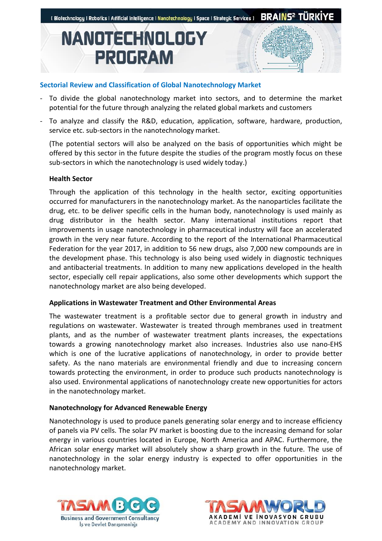

#### **Sectorial Review and Classification of Global Nanotechnology Market**

- To divide the global nanotechnology market into sectors, and to determine the market potential for the future through analyzing the related global markets and customers
- To analyze and classify the R&D, education, application, software, hardware, production, service etc. sub-sectors in the nanotechnology market.

(The potential sectors will also be analyzed on the basis of opportunities which might be offered by this sector in the future despite the studies of the program mostly focus on these sub-sectors in which the nanotechnology is used widely today.)

#### **Health Sector**

Through the application of this technology in the health sector, exciting opportunities occurred for manufacturers in the nanotechnology market. As the nanoparticles facilitate the drug, etc. to be deliver specific cells in the human body, nanotechnology is used mainly as drug distributor in the health sector. Many international institutions report that improvements in usage nanotechnology in pharmaceutical industry will face an accelerated growth in the very near future. According to the report of the International Pharmaceutical Federation for the year 2017, in addition to 56 new drugs, also 7,000 new compounds are in the development phase. This technology is also being used widely in diagnostic techniques and antibacterial treatments. In addition to many new applications developed in the health sector, especially cell repair applications, also some other developments which support the nanotechnology market are also being developed.

#### **Applications in Wastewater Treatment and Other Environmental Areas**

The wastewater treatment is a profitable sector due to general growth in industry and regulations on wastewater. Wastewater is treated through membranes used in treatment plants, and as the number of wastewater treatment plants increases, the expectations towards a growing nanotechnology market also increases. Industries also use nano-EHS which is one of the lucrative applications of nanotechnology, in order to provide better safety. As the nano materials are environmental friendly and due to increasing concern towards protecting the environment, in order to produce such products nanotechnology is also used. Environmental applications of nanotechnology create new opportunities for actors in the nanotechnology market.

#### **Nanotechnology for Advanced Renewable Energy**

Nanotechnology is used to produce panels generating solar energy and to increase efficiency of panels via PV cells. The solar PV market is boosting due to the increasing demand for solar energy in various countries located in Europe, North America and APAC. Furthermore, the African solar energy market will absolutely show a sharp growth in the future. The use of nanotechnology in the solar energy industry is expected to offer opportunities in the nanotechnology market.



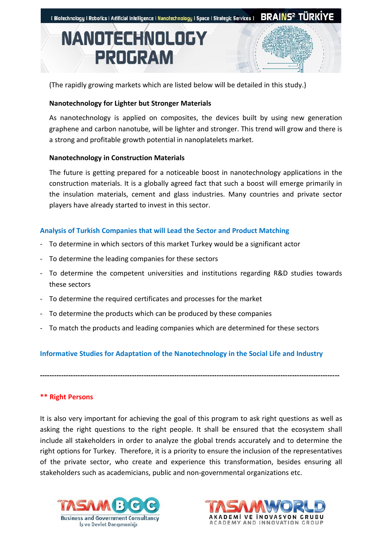

(The rapidly growing markets which are listed below will be detailed in this study.)

#### **Nanotechnology for Lighter but Stronger Materials**

As nanotechnology is applied on composites, the devices built by using new generation graphene and carbon nanotube, will be lighter and stronger. This trend will grow and there is a strong and profitable growth potential in nanoplatelets market.

#### **Nanotechnology in Construction Materials**

The future is getting prepared for a noticeable boost in nanotechnology applications in the construction materials. It is a globally agreed fact that such a boost will emerge primarily in the insulation materials, cement and glass industries. Many countries and private sector players have already started to invest in this sector.

#### **Analysis of Turkish Companies that will Lead the Sector and Product Matching**

- To determine in which sectors of this market Turkey would be a significant actor
- To determine the leading companies for these sectors
- To determine the competent universities and institutions regarding R&D studies towards these sectors
- To determine the required certificates and processes for the market
- To determine the products which can be produced by these companies
- To match the products and leading companies which are determined for these sectors

#### **Informative Studies for Adaptation of the Nanotechnology in the Social Life and Industry**

**-------------------------------------------------------------------------------------------------------------------------------**

**\*\* Right Persons**

It is also very important for achieving the goal of this program to ask right questions as well as asking the right questions to the right people. It shall be ensured that the ecosystem shall include all stakeholders in order to analyze the global trends accurately and to determine the right options for Turkey. Therefore, it is a priority to ensure the inclusion of the representatives of the private sector, who create and experience this transformation, besides ensuring all stakeholders such as academicians, public and non-governmental organizations etc.